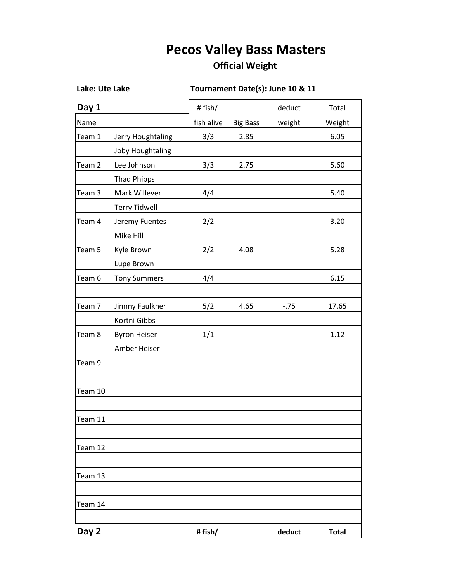## **Pecos Valley Bass Masters**

## **Official Weight**

## **Lake: Ute Lake Tournament Date(s): June 10 & 11**

| Day 1             |                      | # fish/    |                 | deduct | Total        |
|-------------------|----------------------|------------|-----------------|--------|--------------|
| Name              |                      | fish alive | <b>Big Bass</b> | weight | Weight       |
| Team 1            | Jerry Houghtaling    | 3/3        | 2.85            |        | 6.05         |
|                   | Joby Houghtaling     |            |                 |        |              |
| Team <sub>2</sub> | Lee Johnson          | 3/3        | 2.75            |        | 5.60         |
|                   | <b>Thad Phipps</b>   |            |                 |        |              |
| Team 3            | Mark Willever        | 4/4        |                 |        | 5.40         |
|                   | <b>Terry Tidwell</b> |            |                 |        |              |
| Team 4            | Jeremy Fuentes       | 2/2        |                 |        | 3.20         |
|                   | Mike Hill            |            |                 |        |              |
| Team 5            | Kyle Brown           | 2/2        | 4.08            |        | 5.28         |
|                   | Lupe Brown           |            |                 |        |              |
| Team 6            | <b>Tony Summers</b>  | 4/4        |                 |        | 6.15         |
|                   |                      |            |                 |        |              |
| Team 7            | Jimmy Faulkner       | 5/2        | 4.65            | $-.75$ | 17.65        |
|                   | Kortni Gibbs         |            |                 |        |              |
| Team 8            | <b>Byron Heiser</b>  | 1/1        |                 |        | 1.12         |
|                   | Amber Heiser         |            |                 |        |              |
| Team 9            |                      |            |                 |        |              |
|                   |                      |            |                 |        |              |
| Team 10           |                      |            |                 |        |              |
|                   |                      |            |                 |        |              |
| Team 11           |                      |            |                 |        |              |
|                   |                      |            |                 |        |              |
| Team 12           |                      |            |                 |        |              |
|                   |                      |            |                 |        |              |
| Team 13           |                      |            |                 |        |              |
|                   |                      |            |                 |        |              |
| Team 14           |                      |            |                 |        |              |
|                   |                      |            |                 |        |              |
| Day 2             |                      | # fish/    |                 | deduct | <b>Total</b> |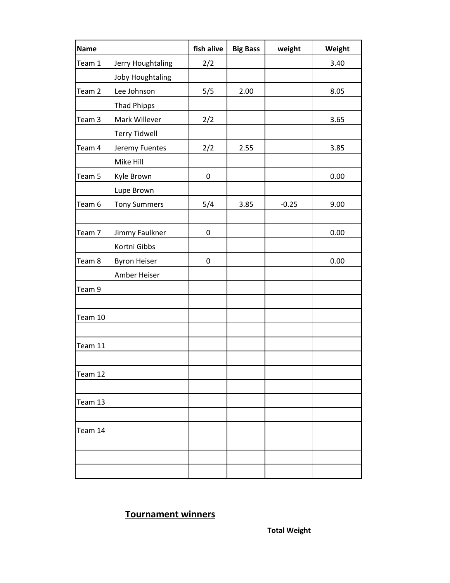| <b>Name</b> |                      | fish alive       | <b>Big Bass</b> | weight  | Weight |
|-------------|----------------------|------------------|-----------------|---------|--------|
| Team 1      | Jerry Houghtaling    | 2/2              |                 |         | 3.40   |
|             | Joby Houghtaling     |                  |                 |         |        |
| Team 2      | Lee Johnson          | 5/5              | 2.00            |         | 8.05   |
|             | <b>Thad Phipps</b>   |                  |                 |         |        |
| Team 3      | Mark Willever        | 2/2              |                 |         | 3.65   |
|             | <b>Terry Tidwell</b> |                  |                 |         |        |
| Team 4      | Jeremy Fuentes       | 2/2              | 2.55            |         | 3.85   |
|             | Mike Hill            |                  |                 |         |        |
| Team 5      | Kyle Brown           | $\pmb{0}$        |                 |         | 0.00   |
|             | Lupe Brown           |                  |                 |         |        |
| Team 6      | <b>Tony Summers</b>  | 5/4              | 3.85            | $-0.25$ | 9.00   |
|             |                      |                  |                 |         |        |
| Team 7      | Jimmy Faulkner       | $\boldsymbol{0}$ |                 |         | 0.00   |
|             | Kortni Gibbs         |                  |                 |         |        |
| Team 8      | <b>Byron Heiser</b>  | $\boldsymbol{0}$ |                 |         | 0.00   |
|             | Amber Heiser         |                  |                 |         |        |
| Team 9      |                      |                  |                 |         |        |
|             |                      |                  |                 |         |        |
| Team 10     |                      |                  |                 |         |        |
|             |                      |                  |                 |         |        |
| Team 11     |                      |                  |                 |         |        |
|             |                      |                  |                 |         |        |
| Team 12     |                      |                  |                 |         |        |
|             |                      |                  |                 |         |        |
| Team 13     |                      |                  |                 |         |        |
|             |                      |                  |                 |         |        |
| Team 14     |                      |                  |                 |         |        |
|             |                      |                  |                 |         |        |
|             |                      |                  |                 |         |        |
|             |                      |                  |                 |         |        |

## **Tournament winners**